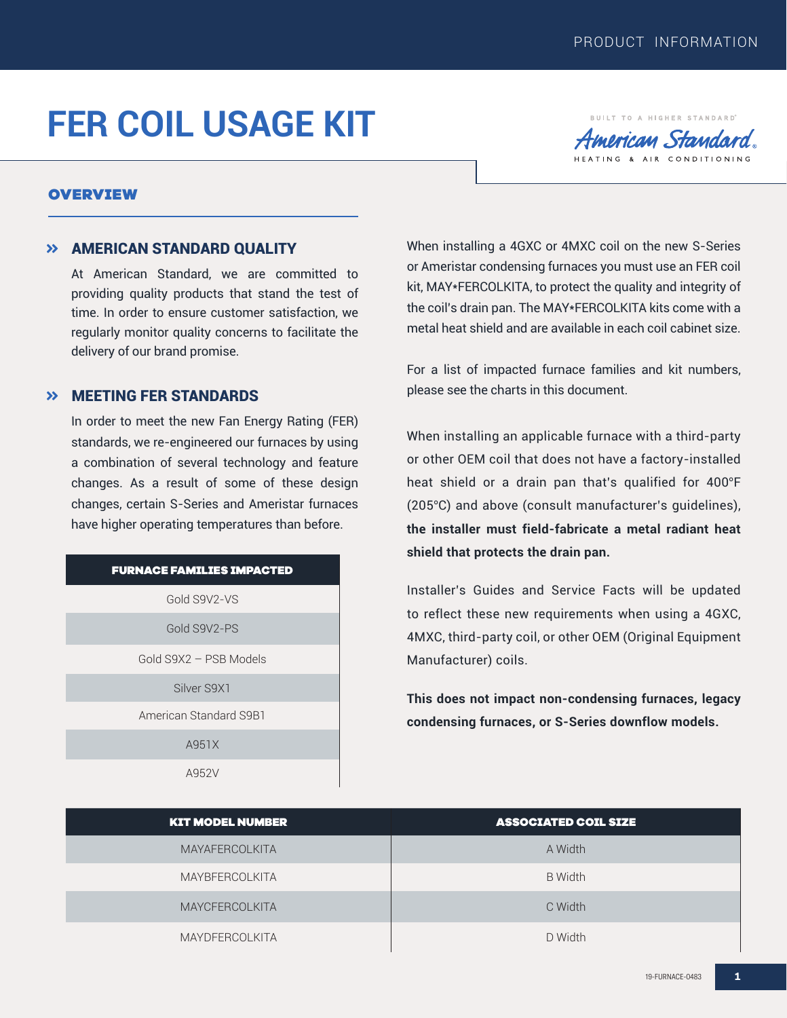BUILT TO A HIGHER STANDARD merican Standard TING & AIR CONDITIONING

# **FER COIL USAGE KIT**

### OVERVIEW

### **>> AMERICAN STANDARD QUALITY**

At American Standard, we are committed to providing quality products that stand the test of time. In order to ensure customer satisfaction, we regularly monitor quality concerns to facilitate the delivery of our brand promise.

## **>> MEETING FER STANDARDS**

In order to meet the new Fan Energy Rating (FER) standards, we re-engineered our furnaces by using a combination of several technology and feature changes. As a result of some of these design changes, certain S-Series and Ameristar furnaces have higher operating temperatures than before.

#### FURNACE FAMILIES IMPACTED

Gold S9V2-VS

Gold S9V2-PS

Gold S9X2 – PSB Models

Silver S9X1

American Standard S9B1

A951X

A952V

When installing a 4GXC or 4MXC coil on the new S-Series or Ameristar condensing furnaces you must use an FER coil kit, MAY\*FERCOLKITA, to protect the quality and integrity of the coil's drain pan. The MAY\*FERCOLKITA kits come with a metal heat shield and are available in each coil cabinet size.

For a list of impacted furnace families and kit numbers, please see the charts in this document.

When installing an applicable furnace with a third-party or other OEM coil that does not have a factory-installed heat shield or a drain pan that's qualified for 400°F (205°C) and above (consult manufacturer's guidelines), **the installer must field-fabricate a metal radiant heat shield that protects the drain pan.** 

Installer's Guides and Service Facts will be updated to reflect these new requirements when using a 4GXC, 4MXC, third-party coil, or other OEM (Original Equipment Manufacturer) coils.

**This does not impact non-condensing furnaces, legacy condensing furnaces, or S-Series downflow models.**

| <b>KIT MODEL NUMBER</b> | <b>ASSOCIATED COIL SIZE</b> |  |
|-------------------------|-----------------------------|--|
| <b>MAYAFERCOLKITA</b>   | A Width                     |  |
| <b>MAYBFERCOLKITA</b>   | <b>B</b> Width              |  |
| <b>MAYCFERCOLKITA</b>   | C Width                     |  |
| <b>MAYDFERCOLKITA</b>   | D Width                     |  |

**1**